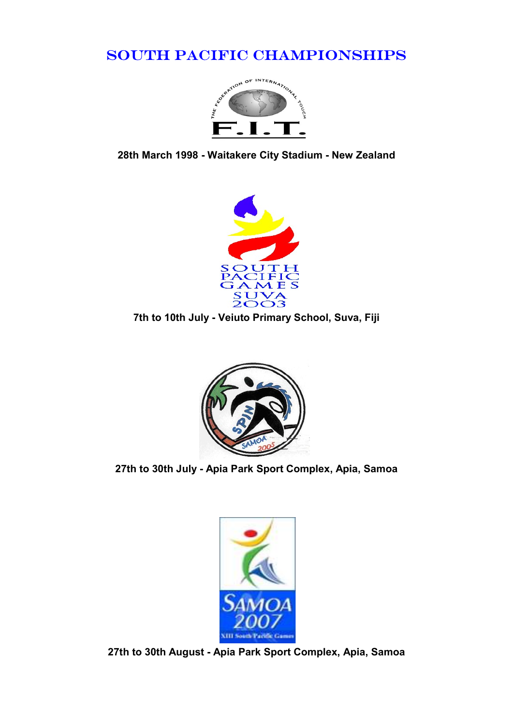## SOUTH PACIFIC CHAMPIONSHIPS



28th March 1998 - Waitakere City Stadium - New Zealand



7th to 10th July - Veiuto Primary School, Suva, Fiji



27th to 30th July - Apia Park Sport Complex, Apia, Samoa



27th to 30th August - Apia Park Sport Complex, Apia, Samoa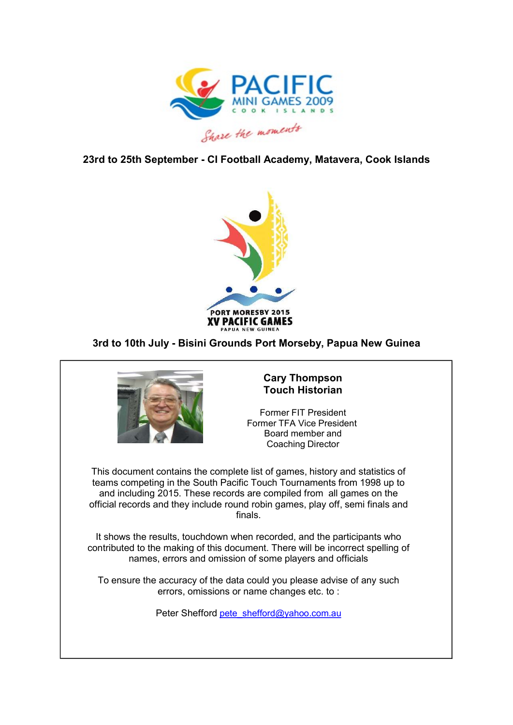

23rd to 25th September - CI Football Academy, Matavera, Cook Islands



## 3rd to 10th July - Bisini Grounds Port Morseby, Papua New Guinea



## Cary Thompson Touch Historian

Former FIT President Board member and Coaching Director

This document contains the complete list of games, history and statistics of teams competing in the South Pacific Touch Tournaments from 1998 up to and including 2015. These records are compiled from all games on the official records and they include round robin games, play off, semi finals and finals.

It shows the results, touchdown when recorded, and the participants who contributed to the making of this document. There will be incorrect spelling of names, errors and omission of some players and officials

To ensure the accuracy of the data could you please advise of any such errors, omissions or name changes etc. to :

Peter Shefford pete\_shefford@yahoo.com.au